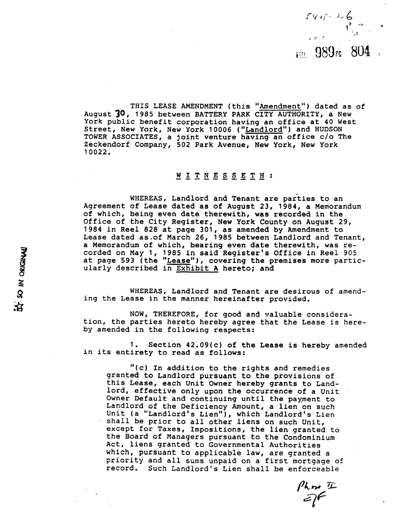$5445 - 326$ im 989rc 804

THIS LEASE AMENDMENT (this "Amendment") dated as of **August 30, 1 985 between BATTERY PARK CITY AUTHORITY, a New York public benefit corporation having an office at 40 West**  Street, New York, New York 10006 ("Landlord") and HUDSON **TOWER ASSOCIATES, a joint venture having an office c/o The Zeckendorf Company, 502 Park Avenue, New York, New York 10022.** 

#### <u>WITNESSETH</u>:

**WHEREAS, Landlord and Tenant are parties to an Agreement of Lease dated as of August 23, 1984, a Memorandum of which, being even date therewith, was recorded in the Office of the City Register, New'York County on August 29, 1984 in Reel 828 at page 301, as amended by Amendment to Lease dated as-of March 26, 1985 between Landlord and Tenant, a Memorandum of which, bearing even date therewith, was re**corded on May 1**,** 1985 in said Register's Office in Reel 905 at page 593 (the "<u>Lease</u>"), covering the premises more partic**ularly described in Exhibit A hereto; and** 

**WHEREAS, Landlord and Tenant are desirous of amending the Lease in the manner hereinafter provided.** 

**NOW, THEREFORE, for good and valuable consideration, the parties hereto hereby agree that the Lease is hereby amended in the following respects:** 

**1. Section 42,09(c) of the Lease is hereby amended in its entirety to read as follows:** 

<sup>"</sup>(c) In addition to the rights and remedies **granted to Landlord pursuant to the provisions of this Lease, each Unit Owner hereby grants to Landlord, effective only upon the occurrence of a Unit Owner Default and continuing until the payment to Landlord of the Deficiency Amount, a lien on such Unit (a "Landlord's Lien"), which Landlord's Lien shall be prior to all other liens on such Unit, except for Taxes, Impositions, the lien granted to the Board of Managers pursuant to the Condominium Act, liens granted to Governmental Authorities which, pursuant to applicable law, are granted a priority and all sums unpaid on a first mortgage of record. Such Landlord's Lien shall be enforceable** 

 $\frac{\rho_{km}}{\mathcal{D}}$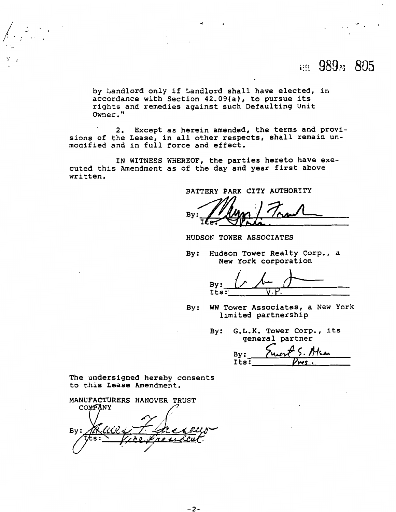## iiii 989rs 805

**by Landlord only if Landlord shall have elected, in accordance with Section 42,09(a), to pursue its rights and remedies against such Defaulting Unit Owner.** "

**2, Except as herein amended, the terms and provi**sions of the Lease, in all other respects, shall remain un**modified and in full force and effect.** 

**IN WITNESS WHEREOF, the parties hereto have executed this Amendment as of the day and year first above written.** 

**BATTERY PARK CITY AUTHORITY** 

By

**HUDSON TOWER ASSOCIATES** 

**By: Hudson Tower Realty Corp., a New York corporation** 

**By** : **Its:'** 

**By: WW Tower Associates, a New York limited partnership** 

**By: G,L.K, Tower Corp., its** 

general partner<br>By: **Event** 5. Also By:<br>Its:

**The undersigned hereby consents to this Lease Amendment.** 

**MANUFACTURERS HANOVER TRUST**  COMPANY  $By:$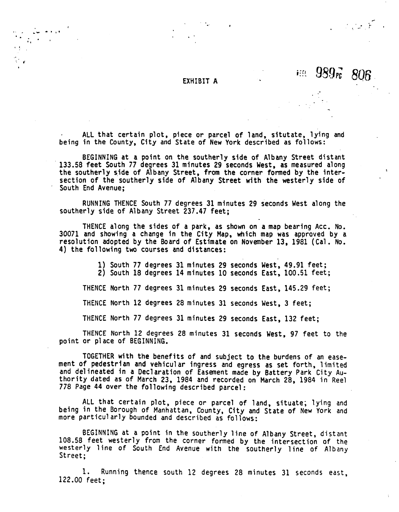### EXHIBIT A

 $\mathcal{L}^{\mathcal{A}}_{\mathcal{A}}(\mathcal{L}^{\mathcal{A}}_{\mathcal{A}}(\mathcal{F}^{\mathcal{A}}_{\mathcal{A}}))$ 

 $\mathbf{r}$ 

**HELL 9897 806** 

ALL that certain plot, piece or parcel of land, situtate, lying and being in the County, City and State of New York described as follows:

BEGINNING at a point on the southerly side of Albany Street distant 133.58 feet South 77 degrees 31 minutes 29 seconds West, as measured along the southerly side of Albany Street, from the corner formed by the intersection of the southerly side of Albany Street with the westerly side of South End Avenue;

RUNNING THENCE South 77 degrees 31 minutes 29 seconds West along the southerly side of Albany Street 237.47 feet:

THENCE along the sides of a park, as shown on a map bearing Acc. No. 30071 and showing a change in the City Map, which map was approved by a resolution adopted by the Board of Estimate on November 13, 1981 (Cal. No. 4) the following two courses and distances:

> 1) South 77 degrees 31 minutes 29 seconds West, 49.91 feet; 2) South 18 degrees 14 minutes 10 seconds East, 100.51 feet;

THENCE North 77 degrees 31 minutes 29 seconds East, 145.29 feet;

THENCE North 12 degrees 28 minutes 31 seconds West, 3 feet;

THENCE North 77 degrees 31 minutes 29 seconds East, 132 feet;

THENCE North 12 degrees 28 minutes 31 seconds West, 97 feet to the point or place of BEGINNING.

TOGETHER with the benefits of and subject to the burdens of an easement of pedestrian and vehicular ingress and egress as set forth, limited and delineated in a Declaration of Easement made by Battery Park City Authority dated as of March 23, 1984 and recorded on March 28, 1984 in Reel 778 Page 44 over the following described parcel:

ALL that certain plot, piece or parcel of land, situate; lying and being in the Borough of Manhattan, County, City and State of New York and more particul arly bounded and described as follows:

BEGINNING at a point in the southerly 1 ine of Albany Street, distant 108.58 feet westerly from the corner formed by the intersection of the westerly line of South End Avenue with the southerly line of Albany Street;

1. Running thence south 12 degrees 28 minutes 31 seconds east, 122.00 feet;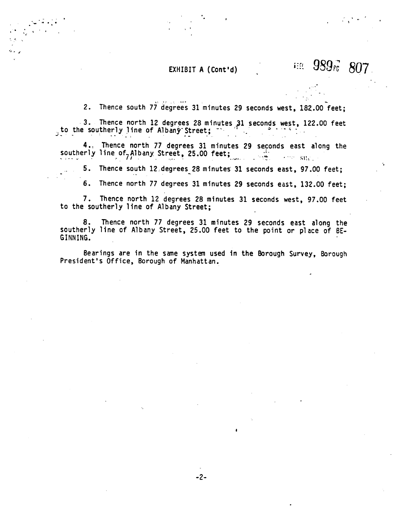### EXHIBIT A (Cont'd)

Thence south 77 degrees 31 minutes 29 seconds west, 182.00 feet;  $2.$ 

**FER 989FG 807** 

3. Thence north 12 degrees 28 minutes 31 seconds west, 122.00 feet to the southerly line of Albany Street;

4. Thence north 77 degrees 31 minutes 29 seconds east along the southerly line of Albany Street, 25.00 feet;  $\sim 100$ **Company Street** 

5. Thence south 12 degrees 28 minutes 31 seconds east, 97.00 feet;

Thence north 77 degrees 31 minutes 29 seconds east, 132.00 feet; 6.

7. Thence north 12 degrees 28 minutes 31 seconds west, 97.00 feet to the southerly line of Albany Street:

Thence north 77 degrees 31 minutes 29 seconds east along the 8. southerly line of Albany Street, 25.00 feet to the point or place of BE-GINNING.

Bearings are in the same system used in the Borough Survey, Borough President's Office, Borough of Manhattan.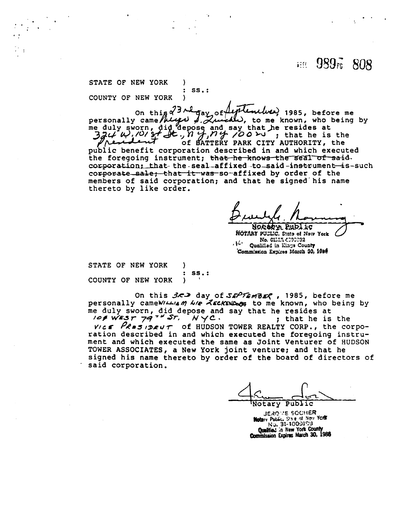# 班 989元 808

STATE OF NEW YORK ) : SS.:<br>) COUNTY OF NEW YORK )

on this 23 rh gay of fightentical 1985, before me<br>personally came high p. Quicale, to me known, who being by 1985, before me me duly sworn, did depose and say that he resides at<br>324  $\omega$ ,  $\omega$  st Ht.,  $n \neq n \neq n \infty$  . that he is that he is the IJ AUTHORITY, the public benefit corporation described in and which executed - he knows the sea.<br>
ixed to said-instruction<br>
affixed by order<br>
nd that he signed<br>  $\frac{1}{2}$ <br>  $\frac{1}{2}$ <br>  $\frac{1}{2}$ <br>
NOREARY FULL State of Ne<br>
NOREARY FULL State of Ne<br>
No. 01513 4292932 the foregoing instrument; that he knows the seal of said.  $corporation:$  that-the - seal-affixed to-said-instrument-is-such corporate sale; that it was so affixed by order of the members of said corporation; and that he signed his name thereto by like order.

-<br>-<br>J

*NOGERY***<sub>R</sub> RHD1 i.g**<br>**NOTARY PULLIC, State of Nove York <br>
<b>Mo. 01213 4000032** NOTARY POLLIC, State of New<br>
No. 01313 **42920232**<br> **Cualified in Kings County Commission Expires March 30, 1990** 

STATE OF NEW YORK ) : ss.: COUNTY OF NEW YORK

On this  $37 - 10$  day of  $5577 + 357$ , 1985, before me personally cameW/414 m W/e ZECKENDoc<sub>7</sub> to me known, who being by me duly sworn, did depose and say that he resides at<br> *Not* West  $7q^{7}$ Sr,  $N \vee C$ .<br>
; that he is the

**VOF WEST 79<sup>74</sup> ST.**  $W \vee C$ .<br> **VICE** PRESIDENT Of HUDSON TOWER REALTY CORP., the corporation described in and which executed the foregoing instrument and which executed the same as Joint Venturer of HUDSON TOWER ASSOCIATES, a New York joint venture; and that he signed his name thereto by order of the board of directors of said corporation.

Notary Public

**.j~+?..r€ sOcttER Notary Public.** Stale of New **York !<a. 31--l0@31?3 Qualitied in New York County<br>Commission Expires March 30, 1986**